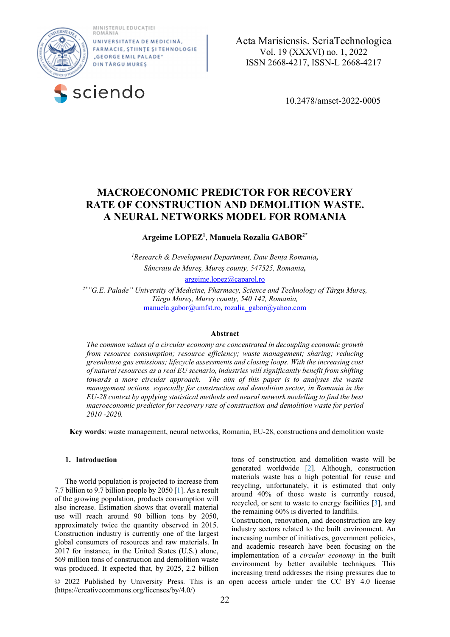MINISTERUL EDUCAȚIEI<br>ROMÂNIA



UNIVERSITATE A DE MEDICINĂ FARMACIE, ȘTIINȚE ȘI TEHNOLOGIE "GEORGE EMIL PALADE" **DINTÅRGUMURES** 



 **a**  Acta Marisiensis. SeriaTechnologica Vol. 19 (XXXVI) no. 1, 2022 ISSN 2668-4217, ISSN-L 2668-4217

# **MACROECONOMIC PREDICTOR FOR RECOVERY RATE OF CONSTRUCTION AND DEMOLITION WASTE. A NEURAL NETWORKS MODEL FOR ROMANIA**

**Argeime LOPEZ1** , **Manuela Rozalia GABOR2\***

*1 Research & Development Department, Daw Bența Romania, Sâncraiu de Mureș, Mureș county, 547525, Romania,* 

argeime.lopez@caparol.ro

*2\*"G.E. Palade" University of Medicine, Pharmacy, Science and Technology of Târgu Mureș, Târgu Mureș, Mureș county, 540 142, Romania,*  manuela.gabor@umfst.ro, rozalia\_gabor@yahoo.com

## **Abstract**

*The common values of a circular economy are concentrated in decoupling economic growth from resource consumption; resource efficiency; waste management; sharing; reducing greenhouse gas emissions; lifecycle assessments and closing loops. With the increasing cost of natural resources as a real EU scenario, industries will significantly benefit from shifting towards a more circular approach. The aim of this paper is to analyses the waste management actions, especially for construction and demolition sector, in Romania in the EU-28 context by applying statistical methods and neural network modelling to find the best macroeconomic predictor for recovery rate of construction and demolition waste for period 2010 -2020.* 

**Key words**: waste management, neural networks, Romania, EU-28, constructions and demolition waste

# **1. Introduction**

The world population is projected to increase from 7.7 billion to 9.7 billion people by 2050 [1]. As a result of the growing population, products consumption will also increase. Estimation shows that overall material use will reach around 90 billion tons by 2050, approximately twice the quantity observed in 2015. Construction industry is currently one of the largest global consumers of resources and raw materials. In 2017 for instance, in the United States (U.S.) alone, 569 million tons of construction and demolition waste was produced. It expected that, by 2025, 2.2 billion

© 2022 Published by University Press. This is an open access article under the CC BY 4.0 license (https://creativecommons.org/licenses/by/4.0/)

tons of construction and demolition waste will be generated worldwide [2]. Although, construction materials waste has a high potential for reuse and recycling, unfortunately, it is estimated that only around 40% of those waste is currently reused, recycled, or sent to waste to energy facilities [3], and the remaining 60% is diverted to landfills.

Construction, renovation, and deconstruction are key industry sectors related to the built environment. An increasing number of initiatives, government policies, and academic research have been focusing on the implementation of a *circular economy* in the built environment by better available techniques. This increasing trend addresses the rising pressures due to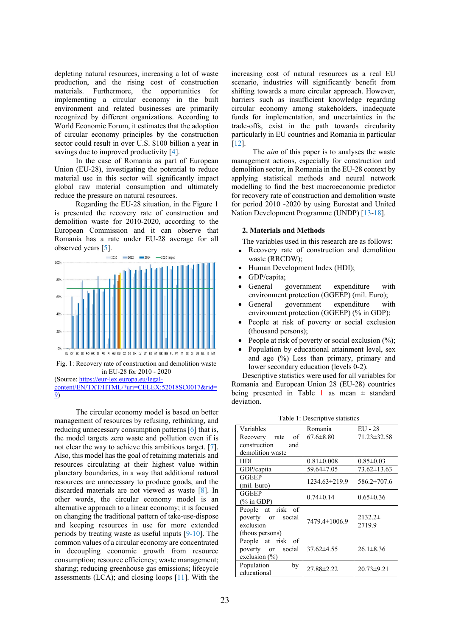depleting natural resources, increasing a lot of waste production, and the rising cost of construction materials. Furthermore, the opportunities for implementing a circular economy in the built environment and related businesses are primarily recognized by different organizations. According to World Economic Forum, it estimates that the adoption of circular economy principles by the construction sector could result in over U.S. \$100 billion a year in savings due to improved productivity [4].

In the case of Romania as part of European Union (EU-28), investigating the potential to reduce material use in this sector will significantly impact global raw material consumption and ultimately reduce the pressure on natural resources.

Regarding the EU-28 situation, in the Figure 1 is presented the recovery rate of construction and demolition waste for 2010-2020, according to the European Commission and it can observe that Romania has a rate under EU-28 average for all observed years [5].



Fig. 1: Recovery rate of construction and demolition waste in EU-28 for 2010 - 2020

(Source: https://eur-lex.europa.eu/legalcontent/EN/TXT/HTML/?uri=CELEX:52018SC0017&rid= 9)

The circular economy model is based on better management of resources by refusing, rethinking, and reducing unnecessary consumption patterns [6] that is, the model targets zero waste and pollution even if is not clear the way to achieve this ambitious target. [7]. Also, this model has the goal of retaining materials and resources circulating at their highest value within planetary boundaries, in a way that additional natural resources are unnecessary to produce goods, and the discarded materials are not viewed as waste [8]. In other words, the circular economy model is an alternative approach to a linear economy; it is focused on changing the traditional pattern of take-use-dispose and keeping resources in use for more extended periods by treating waste as useful inputs [9-10]. The common values of a circular economy are concentrated in decoupling economic growth from resource consumption; resource efficiency; waste management; sharing; reducing greenhouse gas emissions; lifecycle assessments (LCA); and closing loops [11]. With the

increasing cost of natural resources as a real EU scenario, industries will significantly benefit from shifting towards a more circular approach. However, barriers such as insufficient knowledge regarding circular economy among stakeholders, inadequate funds for implementation, and uncertainties in the trade-offs, exist in the path towards circularity particularly in EU countries and Romania in particular [12].

The *aim* of this paper is to analyses the waste management actions, especially for construction and demolition sector, in Romania in the EU-28 context by applying statistical methods and neural network modelling to find the best macroeconomic predictor for recovery rate of construction and demolition waste for period 2010 -2020 by using Eurostat and United Nation Development Programme (UNDP) [13-18].

# **2. Materials and Methods**

The variables used in this research are as follows:

- Recovery rate of construction and demolition waste (RRCDW);
- Human Development Index (HDI);
- GDP/capita;
- General government expenditure with environment protection (GGEEP) (mil. Euro);
- General government expenditure with environment protection (GGEEP) (% in GDP);
- People at risk of poverty or social exclusion (thousand persons);
- People at risk of poverty or social exclusion  $(\%);$
- Population by educational attainment level, sex and age (%)\_Less than primary, primary and lower secondary education (levels 0-2).

Descriptive statistics were used for all variables for Romania and European Union 28 (EU-28) countries being presented in Table 1 as mean  $\pm$  standard deviation.

| Variables                                                              | Romania          | $EU - 28$             |
|------------------------------------------------------------------------|------------------|-----------------------|
| of<br>Recovery rate                                                    | $67.6 \pm 8.80$  | $71.23 \pm 32.58$     |
| construction<br>and                                                    |                  |                       |
| demolition waste                                                       |                  |                       |
| HDI                                                                    | $0.81 \pm 0.008$ | $0.85 \pm 0.03$       |
| GDP/capita                                                             | 59.64±7.05       | $73.62 \pm 13.63$     |
| <b>GGEEP</b>                                                           | 1234.63±219.9    | 586.2±707.6           |
| (mil. Euro)                                                            |                  |                       |
| <b>GGEEP</b>                                                           | $0.74 \pm 0.14$  | $0.65 \pm 0.36$       |
| $(\%$ in GDP)                                                          |                  |                       |
| People at risk of<br>poverty or social<br>exclusion<br>(thous persons) | 7479.4±1006.9    | $2132.2\pm$<br>2719.9 |
| People at risk of<br>poverty or social<br>exclusion $(\% )$            | $37.62\pm4.55$   | $26.1 \pm 8.36$       |
| Population<br>by<br>educational                                        | 27.88±2.22       | $20.73 \pm 9.21$      |

Table 1: Descriptive statistics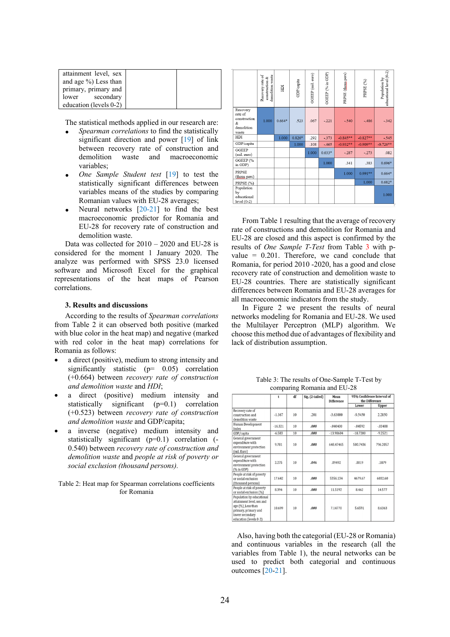| attainment level, sex  |  |
|------------------------|--|
| and age %) Less than   |  |
| primary, primary and   |  |
| lower secondary        |  |
| education (levels 0-2) |  |

The statistical methods applied in our research are:

- *Spearman correlations* to find the statistically significant direction and power [19] of link between recovery rate of construction and demolition waste and macroeconomic variables;
- *One Sample Student test* [19] to test the statistically significant differences between variables means of the studies by comparing Romanian values with EU-28 averages;
- Neural networks [20-21] to find the best macroeconomic predictor for Romania and EU-28 for recovery rate of construction and demolition waste.

Data was collected for 2010 – 2020 and EU-28 is considered for the moment 1 January 2020. The analyze was performed with SPSS 23.0 licensed software and Microsoft Excel for the graphical representations of the heat maps of Pearson correlations.

## **3. Results and discussions**

According to the results of *Spearman correlations* from Table 2 it can observed both positive (marked with blue color in the heat map) and negative (marked with red color in the heat map) correlations for Romania as follows:

- a direct (positive), medium to strong intensity and significantly statistic (p= 0.05) correlation (+0.664) between *recovery rate of construction and demolition waste* and *HDI*;
- a direct (positive) medium intensity and statistically significant (p=0.1) correlation (+0.523) between *recovery rate of construction and demolition waste* and GDP/capita;
- a inverse (negative) medium intensity and statistically significant  $(p=0.1)$  correlation  $(-1)^{n-1}$ 0.540) between *recovery rate of construction and demolition waste* and *people at risk of poverty or social exclusion (thousand persons).*

Table 2: Heat map for Spearman correlations coefficients for Romania

|                                                                 | Recovery rate of<br>demolition waste<br>construction & | НDI      | GDP/capita | GGEEP (mil. euro) | GGEEP (% in GDP) | PRPSE (thous pers) | PRPSE <sub>(%)</sub> | educational level (0-2)<br>Population by |
|-----------------------------------------------------------------|--------------------------------------------------------|----------|------------|-------------------|------------------|--------------------|----------------------|------------------------------------------|
| Recovery<br>rate of<br>construction<br>&<br>demolition<br>waste | 1.000                                                  | $0.664*$ | .523       | .067              | $-.221$          | $-.540$            | $-.486$              | $-.342$                                  |
| HDI                                                             |                                                        | 1.000    | $0.826*$   | .292              | $-.373$          | $-0.845**$         | $-0.827**$           | $-.545$                                  |
| GDP/capita                                                      |                                                        |          | 1.000      | .108              | $-465$           | $-0.932**$         | $-0.909**$           | $-0.726**$                               |
| <b>GGEEP</b><br>(mil. euro)                                     |                                                        |          |            | 1.000             | $0.633*$         | $-.287$            | $-.273$              | .082                                     |
| GGEEP (%<br>in GDP)                                             |                                                        |          |            |                   | 1.000            | .341               | .383                 | $0.696*$                                 |
| <b>PRPSE</b><br>(thous pers)                                    |                                                        |          |            |                   |                  | 1.000              | $0.991**$            | $0.664*$                                 |
| PRPSE (%)                                                       |                                                        |          |            |                   |                  |                    | 1.000                | $0.682*$                                 |
| Population<br>by<br>educational<br>$level(0-2)$                 |                                                        |          |            |                   |                  |                    |                      | 1.000                                    |

From Table 1 resulting that the average of recovery rate of constructions and demolition for Romania and EU-28 are closed and this aspect is confirmed by the results of *One Sample T-Test* from Table 3 with pvalue = 0.201. Therefore, we cand conclude that Romania, for period 2010 -2020, has a good and close recovery rate of construction and demolition waste to EU-28 countries. There are statistically significant differences between Romania and EU-28 averages for all macroeconomic indicators from the study.

In Figure 2 we present the results of neural networks modeling for Romania and EU-28. We used the Multilayer Perceptron (MLP) algorithm. We choose this method due of advantages of flexibility and lack of distribution assumption.

Table 3: The results of One-Sample T-Test by comparing Romania and EU-28

|                                                                                                                                                  | t         | df | Sig. (2-tailed) | Mean<br><b>Difference</b> |            | 95% Confidence Interval of<br>the Difference |  |
|--------------------------------------------------------------------------------------------------------------------------------------------------|-----------|----|-----------------|---------------------------|------------|----------------------------------------------|--|
|                                                                                                                                                  |           |    |                 |                           | Lower      | Upper                                        |  |
| Recovery rate of<br>construction and<br>demolition waste                                                                                         | $-1.367$  | 10 | .201            | $-3.63000$                | $-9.5450$  | 2.2850                                       |  |
| Human Development<br>Index                                                                                                                       | $-16.321$ | 10 | .000            | $-040400$                 | $-0.04592$ | $-03488$                                     |  |
| GDP/capita                                                                                                                                       | $-6.583$  | 10 | .000            | $-13.98604$               | $-18.7200$ | $-9.2521$                                    |  |
| General government<br>expenditure with<br>environment protection<br>(mil. Euro)                                                                  | 9.781     | 10 | .000            | 648.47465                 | 500.7436   | 796.2057                                     |  |
| General government<br>expenditure with<br>environment protection<br>(% in GDP)                                                                   | 2.275     | 10 | .046            | .09492                    | .0019      | .1879                                        |  |
| People at risk of poverty<br>or social exclusion<br>(thousand persons)                                                                           | 17.642    | 10 | .000            | 5356.134                  | 4679.67    | 6032.60                                      |  |
| People at risk of poverty<br>or social exclusion (%)                                                                                             | 8.394     | 10 | .000            | 11.5192                   | 8.462      | 14.577                                       |  |
| Population by educational<br>attainment level, sex and<br>age (%)_Less than<br>primary, primary and<br>lower secondary<br>education (levels 0-2) | 10.699    | 10 | .000            | 7.14770                   | 5.6591     | 8.6363                                       |  |

 Also, having both the categorial (EU-28 or Romania) and continuous variables in the research (all the variables from Table 1), the neural networks can be used to predict both categorial and continuous outcomes [20-21].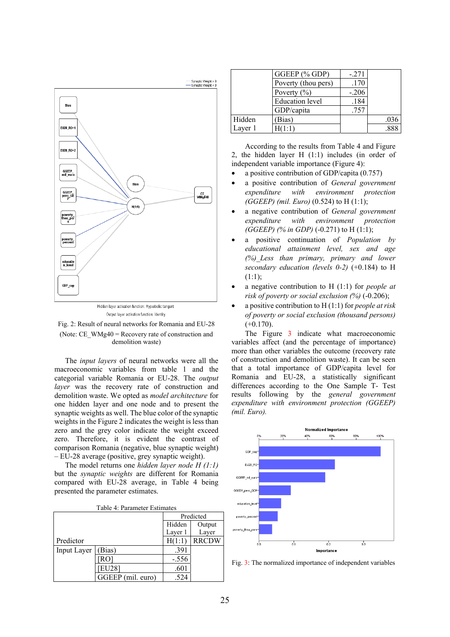



(Note: CE\_WMg40 = Recovery rate of construction and demolition waste)

The *input layers* of neural networks were all the macroeconomic variables from table 1 and the categorial variable Romania or EU-28. The *output layer* was the recovery rate of construction and demolition waste. We opted as *model architecture* for one hidden layer and one node and to present the synaptic weights as well. The blue color of the synaptic weights in the Figure 2 indicates the weight is less than zero and the grey color indicate the weight exceed zero. Therefore, it is evident the contrast of comparison Romania (negative, blue synaptic weight) – EU-28 average (positive, grey synaptic weight).

The model returns one *hidden layer node H (1:1)* but the *synaptic weights* are different for Romania compared with EU-28 average, in Table 4 being presented the parameter estimates.

| Table 4: Parameter Estimates |  |
|------------------------------|--|
|------------------------------|--|

|             |                   | Predicted |              |
|-------------|-------------------|-----------|--------------|
|             |                   | Hidden    | Output       |
|             |                   | Layer 1   | Layer        |
| Predictor   |                   | H(1:1     | <b>RRCDW</b> |
| Input Layer | Bias)             | .391      |              |
|             | RO                | $-.556$   |              |
|             | EU28]             | .601      |              |
|             | GGEEP (mil. euro) | 524       |              |

|         | GGEEP (% GDP)          | $-.271$ |      |
|---------|------------------------|---------|------|
|         | Poverty (thou pers)    | .170    |      |
|         | Poverty $(\% )$        | $-.206$ |      |
|         | <b>Education</b> level | .184    |      |
|         | GDP/capita             | .757    |      |
| Hidden  | Bias)                  |         | .036 |
| Layer 1 | [(1:1)                 |         |      |

According to the results from Table 4 and Figure 2, the hidden layer H (1:1) includes (in order of independent variable importance (Figure 4):

- a positive contribution of GDP/capita (0.757)
- a positive contribution of *General government expenditure with environment protection (GGEEP) (mil. Euro)* (0.524) to H (1:1);
- a negative contribution of *General government expenditure with environment protection (GGEEP)* (% in *GDP*) (-0.271) to H (1:1);
- a positive continuation of *Population by educational attainment level, sex and age (%)\_Less than primary, primary and lower secondary education (levels 0-2)* (+0.184) to H  $(1:1);$
- a negative contribution to H (1:1) for *people at risk of poverty or social exclusion (%)* (-0.206);
- a positive contribution to H (1:1) for *people at risk of poverty or social exclusion (thousand persons)*   $(+0.170)$ .

The Figure 3 indicate what macroeconomic variables affect (and the percentage of importance) more than other variables the outcome (recovery rate of construction and demolition waste). It can be seen that a total importance of GDP/capita level for Romania and EU-28, a statistically significant differences according to the One Sample T- Test results following by the *general government expenditure with environment protection (GGEEP) (mil. Euro).* 



Fig. 3: The normalized importance of independent variables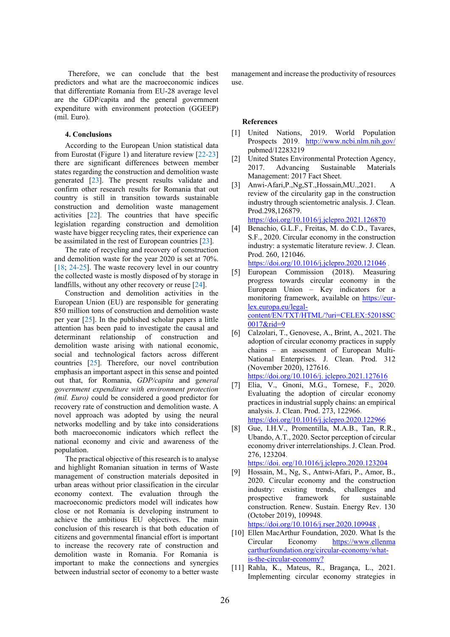Therefore, we can conclude that the best predictors and what are the macroeconomic indices that differentiate Romania from EU-28 average level are the GDP/capita and the general government expenditure with environment protection (GGEEP) (mil. Euro).

#### **4. Conclusions**

According to the European Union statistical data from Eurostat (Figure 1) and literature review [22-23] there are significant differences between member states regarding the construction and demolition waste generated [23]. The present results validate and confirm other research results for Romania that out country is still in transition towards sustainable construction and demolition waste management activities [22]. The countries that have specific legislation regarding construction and demolition waste have bigger recycling rates, their experience can be assimilated in the rest of European countries [23].

The rate of recycling and recovery of construction and demolition waste for the year 2020 is set at 70%. [18; 24-25]. The waste recovery level in our country the collected waste is mostly disposed of by storage in landfills, without any other recovery or reuse [24].

Construction and demolition activities in the European Union (EU) are responsible for generating 850 million tons of construction and demolition waste per year [25]. In the published scholar papers a little attention has been paid to investigate the causal and determinant relationship of construction and demolition waste arising with national economic, social and technological factors across different countries [25]. Therefore, our novel contribution emphasis an important aspect in this sense and pointed out that, for Romania, *GDP/capita* and g*eneral government expenditure with environment protection (mil. Euro)* could be considered a good predictor for recovery rate of construction and demolition waste. A novel approach was adopted by using the neural networks modelling and by take into considerations both macroeconomic indicators which reflect the national economy and civic and awareness of the population.

The practical objective of this research is to analyse and highlight Romanian situation in terms of Waste management of construction materials deposited in urban areas without prior classification in the circular economy context. The evaluation through the macroeconomic predictors model will indicates how close or not Romania is developing instrument to achieve the ambitious EU objectives. The main conclusion of this research is that both education of citizens and governmental financial effort is important to increase the recovery rate of construction and demolition waste in Romania. For Romania is important to make the connections and synergies between industrial sector of economy to a better waste

management and increase the productivity of resources use.

### **References**

- [1] United Nations, 2019. World Population Prospects 2019. http://www.ncbi.nlm.nih.gov/ pubmed/12283219
- [2] United States Environmental Protection Agency, 2017. Advancing Sustainable Materials Management: 2017 Fact Sheet.
- [3] Anwi-Afari,P.,Ng,ST.,Hossain,MU.,2021. A review of the circularity gap in the construction industry through scientometric analysis. J. Clean. Prod.298,126879. https://doi.org/10.1016/j.jclepro.2021.126870

- [4] Benachio, G.L.F., Freitas, M. do C.D., Tavares, S.F., 2020. Circular economy in the construction industry: a systematic literature review. J. Clean. Prod. 260, 121046. https://doi.org/10.1016/j.jclepro.2020.121046 .
- [5] European Commission (2018). Measuring progress towards circular economy in the European Union – Key indicators for a monitoring framework, available on https://eurlex.europa.eu/legalcontent/EN/TXT/HTML/?uri=CELEX:52018SC 0017&rid=9
- [6] Calzolari, T., Genovese, A., Brint, A., 2021. The adoption of circular economy practices in supply chains – an assessment of European Multi-National Enterprises. J. Clean. Prod. 312 (November 2020), 127616. https://doi.org/10.1016/j. jclepro.2021.127616
- [7] Elia, V., Gnoni, M.G., Tornese, F., 2020. Evaluating the adoption of circular economy practices in industrial supply chains: an empirical analysis. J. Clean. Prod. 273, 122966. https://doi.org/10.1016/j.jclepro.2020.122966
- [8] Gue, I.H.V., Promentilla, M.A.B., Tan, R.R., Ubando, A.T., 2020. Sector perception of circular economy driver interrelationships. J. Clean. Prod. 276, 123204.

```
https://doi. org/10.1016/j.jclepro.2020.123204
```
[9] Hossain, M., Ng, S., Antwi-Afari, P., Amor, B., 2020. Circular economy and the construction industry: existing trends, challenges and prospective framework for sustainable construction. Renew. Sustain. Energy Rev. 130 (October 2019), 109948.

https://doi.org/10.1016/j.rser.2020.109948 .

- [10] Ellen MacArthur Foundation, 2020. What Is the Circular Economy https://www.ellenma carthurfoundation.org/circular-economy/whatis-the-circular-economy?
- [11] Rahla, K., Mateus, R., Bragança, L., 2021. Implementing circular economy strategies in